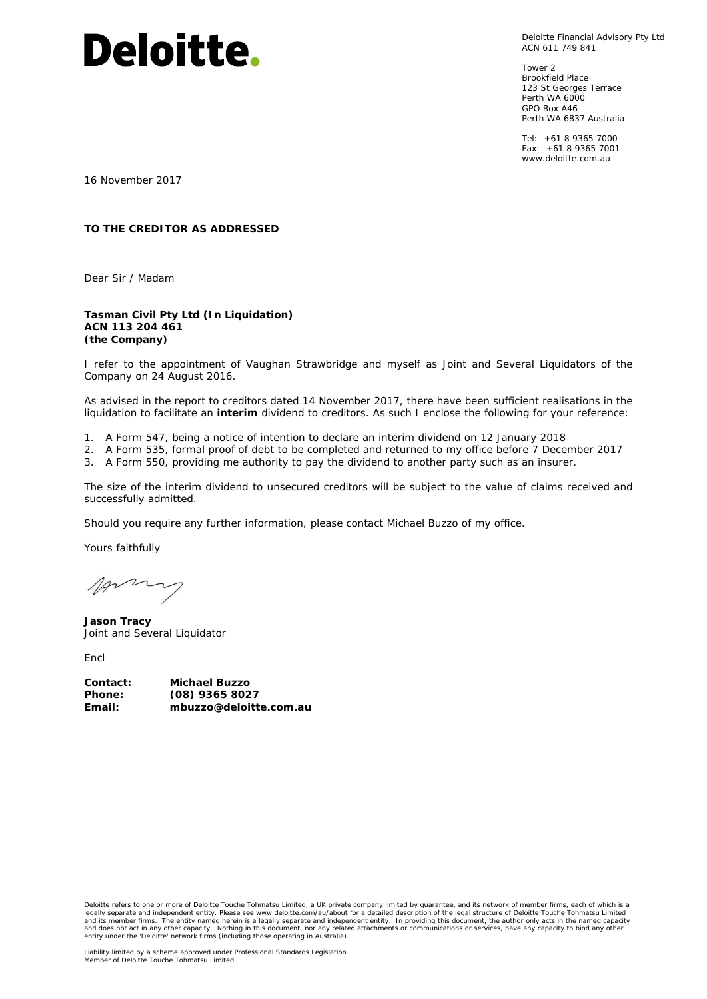# **Deloitte.**

Deloitte Financial Advisory Pty Ltd ACN 611 749 841

Tower 2 Brookfield Place 123 St Georges Terrace Perth WA 6000 GPO Box A46 Perth WA 6837 Australia

Tel: +61 8 9365 7000 Fax: +61 8 9365 7001 www.deloitte.com.au

16 November 2017

#### **TO THE CREDITOR AS ADDRESSED**

Dear Sir / Madam

#### **Tasman Civil Pty Ltd (In Liquidation) ACN 113 204 461 (the Company)**

I refer to the appointment of Vaughan Strawbridge and myself as Joint and Several Liquidators of the Company on 24 August 2016.

As advised in the report to creditors dated 14 November 2017, there have been sufficient realisations in the liquidation to facilitate an **interim** dividend to creditors. As such I enclose the following for your reference:

- 1. A Form 547, being a notice of intention to declare an interim dividend on 12 January 2018
- 2. A Form 535, formal proof of debt to be completed and returned to my office before 7 December 2017
- 3. A Form 550, providing me authority to pay the dividend to another party such as an insurer.

The size of the interim dividend to unsecured creditors will be subject to the value of claims received and successfully admitted.

Should you require any further information, please contact Michael Buzzo of my office.

Yours faithfully

Anny

**Jason Tracy**  Joint and Several Liquidator

*Encl*

| Contact:      | Michael Buzzo          |
|---------------|------------------------|
| <b>Phone:</b> | $(08)$ 9365 8027       |
| Email:        | mbuzzo@deloitte.com.au |

Deloitte refers to one or more of Deloitte Touche Tohmatsu Limited, a UK private company limited by guarantee, and its network of member firms, each of which is a legally separate and independent entity. Please see www.deloitte.com/au/about for a detailed description of the legal structure of Deloitte Touche Tohmatsu Limited<br>and its member firms. The entity named herein is a legally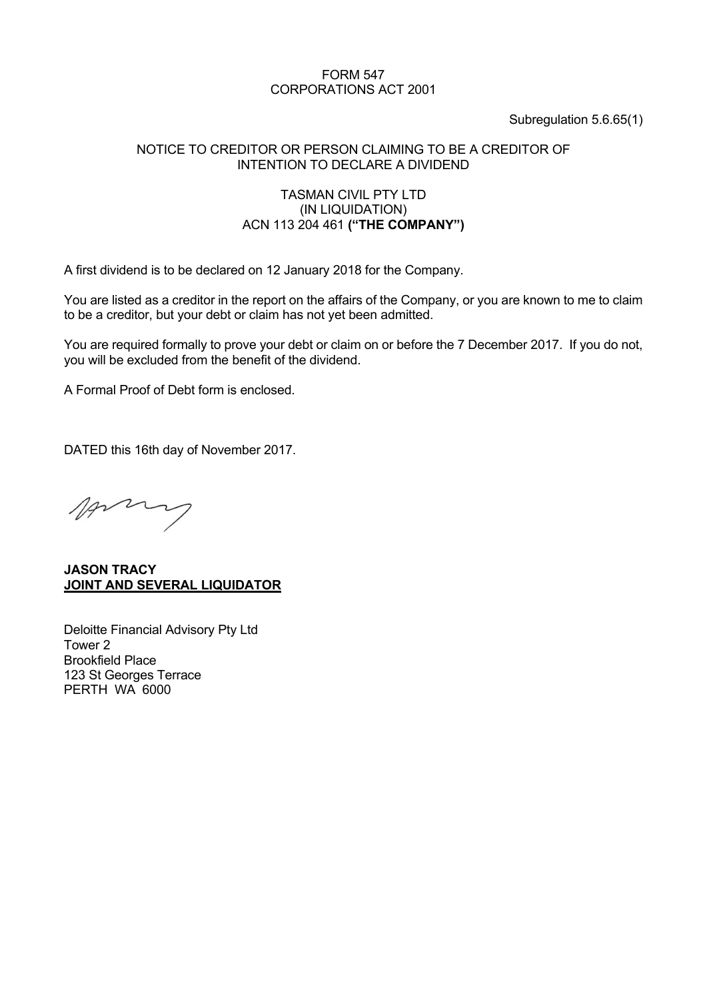# FORM 547 CORPORATIONS ACT 2001

#### Subregulation 5.6.65(1)

#### NOTICE TO CREDITOR OR PERSON CLAIMING TO BE A CREDITOR OF INTENTION TO DECLARE A DIVIDEND

#### TASMAN CIVIL PTY LTD (IN LIQUIDATION) ACN 113 204 461 **("THE COMPANY")**

A first dividend is to be declared on 12 January 2018 for the Company.

You are listed as a creditor in the report on the affairs of the Company, or you are known to me to claim to be a creditor, but your debt or claim has not yet been admitted.

You are required formally to prove your debt or claim on or before the 7 December 2017. If you do not, you will be excluded from the benefit of the dividend.

A Formal Proof of Debt form is enclosed.

DATED this 16th day of November 2017.

Anny

**JASON TRACY JOINT AND SEVERAL LIQUIDATOR** 

Deloitte Financial Advisory Pty Ltd Tower 2 Brookfield Place 123 St Georges Terrace PERTH WA 6000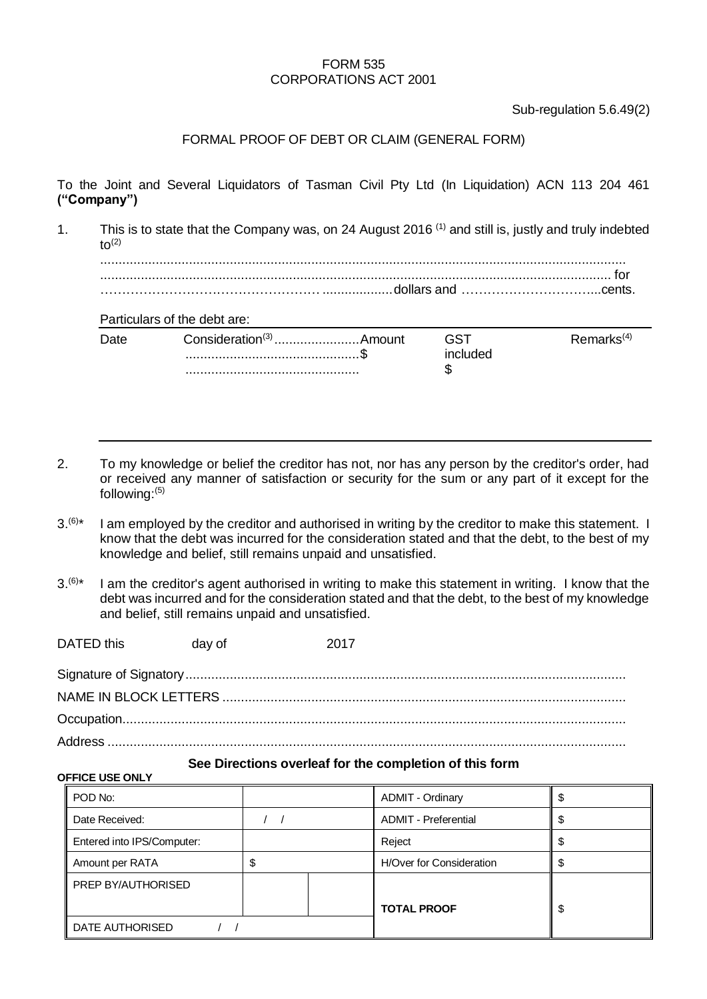#### FORM 535 CORPORATIONS ACT 2001

Sub-regulation 5.6.49(2)

# FORMAL PROOF OF DEBT OR CLAIM (GENERAL FORM)

To the Joint and Several Liquidators of Tasman Civil Pty Ltd (In Liquidation) ACN 113 204 461 **("Company")**

1. This is to state that the Company was, on 24 August 2016 (1) and still is, justly and truly indebted  $t_0$ <sup>(2)</sup>

.............................................................................................................................................. .......................................................................................................................................... for ……………………………………………...................dollars and …………………………...cents.

### Particulars of the debt are:

| (4)  |
|------|
| 'dea |
|      |
|      |

- 2. To my knowledge or belief the creditor has not, nor has any person by the creditor's order, had or received any manner of satisfaction or security for the sum or any part of it except for the following:(5)
- $3^{(6)*}$ I am employed by the creditor and authorised in writing by the creditor to make this statement. I know that the debt was incurred for the consideration stated and that the debt, to the best of my knowledge and belief, still remains unpaid and unsatisfied.
- $3^{(6)*}$ I am the creditor's agent authorised in writing to make this statement in writing. I know that the debt was incurred and for the consideration stated and that the debt, to the best of my knowledge and belief, still remains unpaid and unsatisfied.

| DATED this | day of | 2017 |
|------------|--------|------|
|            |        |      |
|            |        |      |
|            |        |      |
|            |        |      |

#### **See Directions overleaf for the completion of this form**

#### **OFFICE USE ONLY**

| POD No:                    |  |  | <b>ADMIT - Ordinary</b>     |   |
|----------------------------|--|--|-----------------------------|---|
| Date Received:             |  |  | <b>ADMIT</b> - Preferential | J |
| Entered into IPS/Computer: |  |  | Reject                      |   |
| Amount per RATA            |  |  | H/Over for Consideration    |   |
| <b>PREP BY/AUTHORISED</b>  |  |  |                             |   |
|                            |  |  | <b>TOTAL PROOF</b>          | S |
| DATE AUTHORISED            |  |  |                             |   |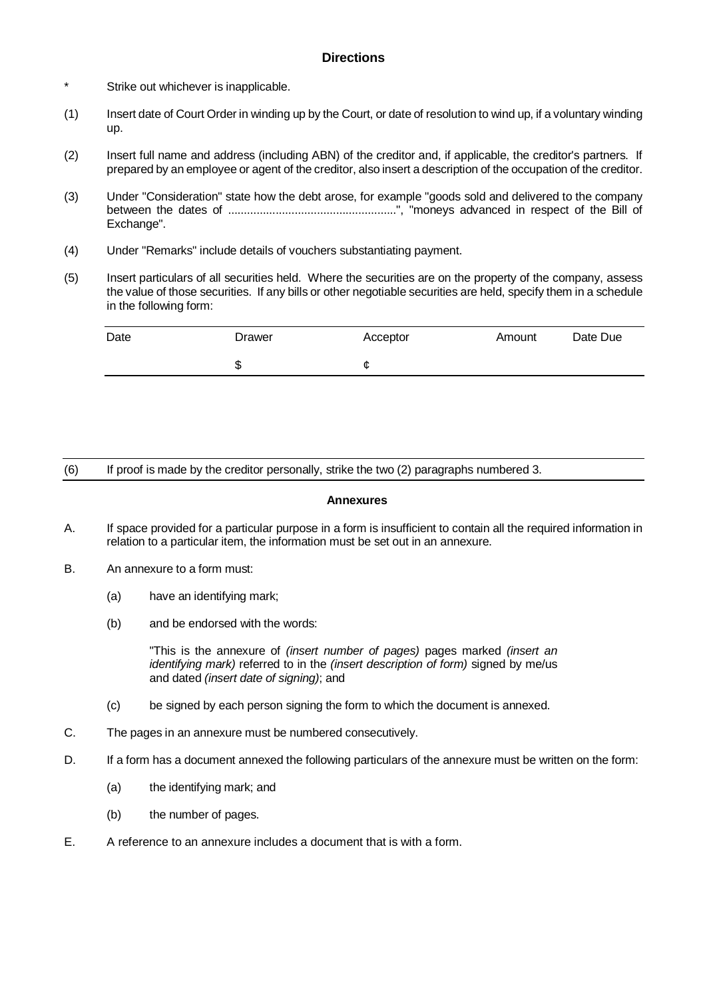#### **Directions**

- \* Strike out whichever is inapplicable.
- (1) Insert date of Court Order in winding up by the Court, or date of resolution to wind up, if a voluntary winding up.
- (2) Insert full name and address (including ABN) of the creditor and, if applicable, the creditor's partners. If prepared by an employee or agent of the creditor, also insert a description of the occupation of the creditor.
- (3) Under "Consideration" state how the debt arose, for example "goods sold and delivered to the company between the dates of .....................................................", "moneys advanced in respect of the Bill of Exchange".
- (4) Under "Remarks" include details of vouchers substantiating payment.
- (5) Insert particulars of all securities held. Where the securities are on the property of the company, assess the value of those securities. If any bills or other negotiable securities are held, specify them in a schedule in the following form:

| Date | Drawer | Acceptor | Amount | Date Due |
|------|--------|----------|--------|----------|
|      | ѡ      | C        |        |          |

(6) If proof is made by the creditor personally, strike the two (2) paragraphs numbered 3.

#### **Annexures**

- A. If space provided for a particular purpose in a form is insufficient to contain all the required information in relation to a particular item, the information must be set out in an annexure.
- B. An annexure to a form must:
	- (a) have an identifying mark;
	- (b) and be endorsed with the words:

"This is the annexure of *(insert number of pages)* pages marked *(insert an identifying mark)* referred to in the *(insert description of form)* signed by me/us and dated *(insert date of signing)*; and

- (c) be signed by each person signing the form to which the document is annexed.
- C. The pages in an annexure must be numbered consecutively.
- D. If a form has a document annexed the following particulars of the annexure must be written on the form:
	- (a) the identifying mark; and
	- (b) the number of pages.
- E. A reference to an annexure includes a document that is with a form.